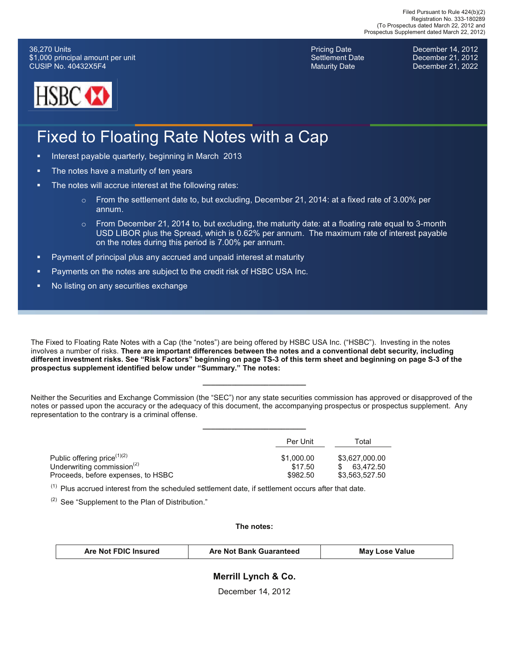36,270 Units \$1,000 principal amount per unit CUSIP No. 40432X5F4



Pricing Date **December 14, 2012** Settlement Date **December 21, 2012** Maturity Date **December 21, 2022** 

### Fixed to Floating Rate Notes with a Cap

- Interest payable quarterly, beginning in March 2013
- **The notes have a maturity of ten years**
- The notes will accrue interest at the following rates:
	- $\circ$  From the settlement date to, but excluding, December 21, 2014: at a fixed rate of 3.00% per annum.
	- $\circ$  From December 21, 2014 to, but excluding, the maturity date: at a floating rate equal to 3-month USD LIBOR plus the Spread, which is 0.62% per annum. The maximum rate of interest payable on the notes during this period is 7.00% per annum.
- ! Payment of principal plus any accrued and unpaid interest at maturity
- **Payments on the notes are subject to the credit risk of HSBC USA Inc.**
- No listing on any securities exchange

The Fixed to Floating Rate Notes with a Cap (the "notes") are being offered by HSBC USA Inc. ("HSBC"). Investing in the notes involves a number of risks. **There are important differences between the notes and a conventional debt security, including different investment risks. See "Risk Factors" beginning on page TS-3 of this term sheet and beginning on page S-3 of the prospectus supplement identified below under "Summary." The notes:**

Neither the Securities and Exchange Commission (the "SEC") nor any state securities commission has approved or disapproved of the notes or passed upon the accuracy or the adequacy of this document, the accompanying prospectus or prospectus supplement. Any representation to the contrary is a criminal offense.

**\_\_\_\_\_\_\_\_\_\_\_\_\_\_\_\_\_\_\_\_\_\_\_\_\_**

**\_\_\_\_\_\_\_\_\_\_\_\_\_\_\_\_\_\_\_\_\_\_\_\_\_**

|                                                     | Per Unit   | Total          |
|-----------------------------------------------------|------------|----------------|
| Public offering price $(1)(2)$                      | \$1,000.00 | \$3.627.000.00 |
| Underwriting commission <sup><math>(2)</math></sup> | \$17.50    | 63.472.50      |
| Proceeds, before expenses, to HSBC                  | \$982.50   | \$3,563,527.50 |

 $<sup>(1)</sup>$  Plus accrued interest from the scheduled settlement date, if settlement occurs after that date.</sup>

 $(2)$  See "Supplement to the Plan of Distribution."

**The notes:**

| Are Not FDIC Insured | <b>Are Not Bank Guaranteed</b> | <b>May Lose Value</b> |
|----------------------|--------------------------------|-----------------------|
|----------------------|--------------------------------|-----------------------|

### **Merrill Lynch & Co.**

December 14, 2012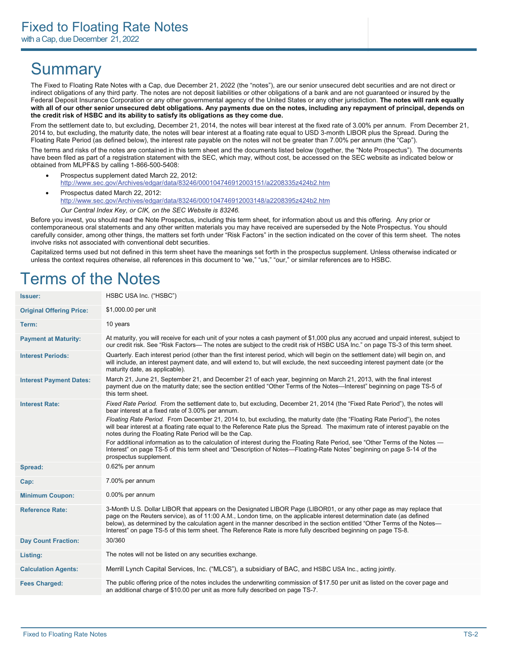### **Summary**

The Fixed to Floating Rate Notes with a Cap, due December 21, 2022 (the "notes"), are our senior unsecured debt securities and are not direct or indirect obligations of any third party. The notes are not deposit liabilities or other obligations of a bank and are not guaranteed or insured by the Federal Deposit Insurance Corporation or any other governmental agency of the United States or any other jurisdiction. **The notes will rank equally with all of our other senior unsecured debt obligations. Any payments due on the notes, including any repayment of principal, depends on the credit risk of HSBC and its ability to satisfy its obligations as they come due.**

From the settlement date to, but excluding, December 21, 2014, the notes will bear interest at the fixed rate of 3.00% per annum. From December 21, 2014 to, but excluding, the maturity date, the notes will bear interest at a floating rate equal to USD 3-month LIBOR plus the Spread. During the Floating Rate Period (as defined below), the interest rate payable on the notes will not be greater than 7.00% per annum (the "Cap").

The terms and risks of the notes are contained in this term sheet and the documents listed below (together, the "Note Prospectus"). The documents have been filed as part of a registration statement with the SEC, which may, without cost, be accessed on the SEC website as indicated below or obtained from MLPF&S by calling 1-866-500-5408:

- ! Prospectus supplement dated March 22, 2012: http://www.sec.gov/Archives/edgar/data/83246/000104746912003151/a2208335z424b2.htm
- Prospectus dated March 22, 2012: http://www.sec.gov/Archives/edgar/data/83246/000104746912003148/a2208395z424b2.htm *Our Central Index Key, or CIK, on the SEC Website is 83246.*

Before you invest, you should read the Note Prospectus, including this term sheet, for information about us and this offering. Any prior or contemporaneous oral statements and any other written materials you may have received are superseded by the Note Prospectus. You should carefully consider, among other things, the matters set forth under "Risk Factors" in the section indicated on the cover of this term sheet. The notes involve risks not associated with conventional debt securities.

Capitalized terms used but not defined in this term sheet have the meanings set forth in the prospectus supplement. Unless otherwise indicated or unless the context requires otherwise, all references in this document to "we," "us," "our," or similar references are to HSBC.

### Terms of the Notes

| <b>Issuer:</b>                  | HSBC USA Inc. ("HSBC")                                                                                                                                                                                                                                                                                                                                                                                                                                                                      |
|---------------------------------|---------------------------------------------------------------------------------------------------------------------------------------------------------------------------------------------------------------------------------------------------------------------------------------------------------------------------------------------------------------------------------------------------------------------------------------------------------------------------------------------|
| <b>Original Offering Price:</b> | \$1,000.00 per unit                                                                                                                                                                                                                                                                                                                                                                                                                                                                         |
| Term:                           | 10 years                                                                                                                                                                                                                                                                                                                                                                                                                                                                                    |
| <b>Payment at Maturity:</b>     | At maturity, you will receive for each unit of your notes a cash payment of \$1,000 plus any accrued and unpaid interest, subject to<br>our credit risk. See "Risk Factors— The notes are subject to the credit risk of HSBC USA Inc." on page TS-3 of this term sheet.                                                                                                                                                                                                                     |
| <b>Interest Periods:</b>        | Quarterly. Each interest period (other than the first interest period, which will begin on the settlement date) will begin on, and<br>will include, an interest payment date, and will extend to, but will exclude, the next succeeding interest payment date (or the<br>maturity date, as applicable).                                                                                                                                                                                     |
| <b>Interest Payment Dates:</b>  | March 21, June 21, September 21, and December 21 of each year, beginning on March 21, 2013, with the final interest<br>payment due on the maturity date; see the section entitled "Other Terms of the Notes—Interest" beginning on page TS-5 of<br>this term sheet.                                                                                                                                                                                                                         |
| <b>Interest Rate:</b>           | Fixed Rate Period. From the settlement date to, but excluding, December 21, 2014 (the "Fixed Rate Period"), the notes will<br>bear interest at a fixed rate of 3.00% per annum.                                                                                                                                                                                                                                                                                                             |
|                                 | Floating Rate Period. From December 21, 2014 to, but excluding, the maturity date (the "Floating Rate Period"), the notes<br>will bear interest at a floating rate equal to the Reference Rate plus the Spread. The maximum rate of interest payable on the<br>notes during the Floating Rate Period will be the Cap.                                                                                                                                                                       |
|                                 | For additional information as to the calculation of interest during the Floating Rate Period, see "Other Terms of the Notes —<br>Interest" on page TS-5 of this term sheet and "Description of Notes—Floating-Rate Notes" beginning on page S-14 of the<br>prospectus supplement.                                                                                                                                                                                                           |
| Spread:                         | 0.62% per annum                                                                                                                                                                                                                                                                                                                                                                                                                                                                             |
| Cap:                            | 7.00% per annum                                                                                                                                                                                                                                                                                                                                                                                                                                                                             |
| <b>Minimum Coupon:</b>          | 0.00% per annum                                                                                                                                                                                                                                                                                                                                                                                                                                                                             |
| <b>Reference Rate:</b>          | 3-Month U.S. Dollar LIBOR that appears on the Designated LIBOR Page (LIBOR01, or any other page as may replace that<br>page on the Reuters service), as of 11:00 A.M., London time, on the applicable interest determination date (as defined<br>below), as determined by the calculation agent in the manner described in the section entitled "Other Terms of the Notes—<br>Interest" on page TS-5 of this term sheet. The Reference Rate is more fully described beginning on page TS-8. |
| <b>Day Count Fraction:</b>      | 30/360                                                                                                                                                                                                                                                                                                                                                                                                                                                                                      |
| Listing:                        | The notes will not be listed on any securities exchange.                                                                                                                                                                                                                                                                                                                                                                                                                                    |
| <b>Calculation Agents:</b>      | Merrill Lynch Capital Services, Inc. ("MLCS"), a subsidiary of BAC, and HSBC USA Inc., acting jointly.                                                                                                                                                                                                                                                                                                                                                                                      |
| <b>Fees Charged:</b>            | The public offering price of the notes includes the underwriting commission of \$17.50 per unit as listed on the cover page and<br>an additional charge of \$10.00 per unit as more fully described on page TS-7.                                                                                                                                                                                                                                                                           |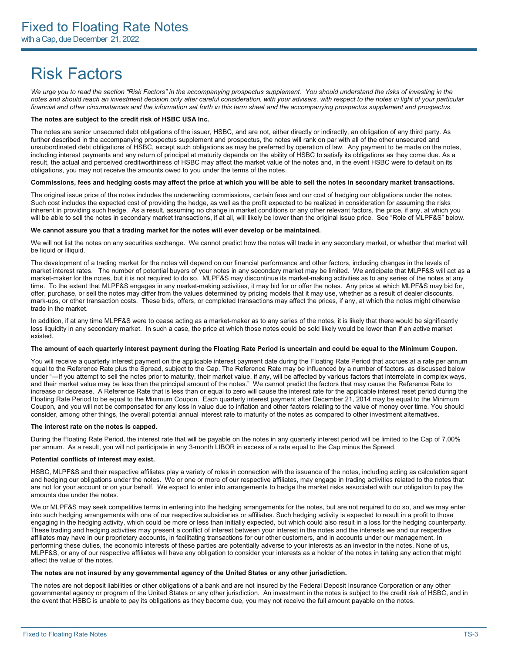### Risk Factors

We urge you to read the section "Risk Factors" in the accompanying prospectus supplement. You should understand the risks of investing in the *notes and should reach an investment decision only after careful consideration, with your advisers, with respect to the notes in light of your particular financial and other circumstances and the information set forth in this term sheet and the accompanying prospectus supplement and prospectus.* 

#### **The notes are subject to the credit risk of HSBC USA Inc.**

The notes are senior unsecured debt obligations of the issuer, HSBC, and are not, either directly or indirectly, an obligation of any third party. As further described in the accompanying prospectus supplement and prospectus, the notes will rank on par with all of the other unsecured and unsubordinated debt obligations of HSBC, except such obligations as may be preferred by operation of law. Any payment to be made on the notes, including interest payments and any return of principal at maturity depends on the ability of HSBC to satisfy its obligations as they come due. As a result, the actual and perceived creditworthiness of HSBC may affect the market value of the notes and, in the event HSBC were to default on its obligations, you may not receive the amounts owed to you under the terms of the notes.

#### **Commissions, fees and hedging costs may affect the price at which you will be able to sell the notes in secondary market transactions.**

The original issue price of the notes includes the underwriting commissions, certain fees and our cost of hedging our obligations under the notes. Such cost includes the expected cost of providing the hedge, as well as the profit expected to be realized in consideration for assuming the risks inherent in providing such hedge. As a result, assuming no change in market conditions or any other relevant factors, the price, if any, at which you will be able to sell the notes in secondary market transactions, if at all, will likely be lower than the original issue price. See "Role of MLPF&S" below.

#### **We cannot assure you that a trading market for the notes will ever develop or be maintained.**

We will not list the notes on any securities exchange. We cannot predict how the notes will trade in any secondary market, or whether that market will be liquid or illiquid.

The development of a trading market for the notes will depend on our financial performance and other factors, including changes in the levels of market interest rates. The number of potential buyers of your notes in any secondary market may be limited. We anticipate that MLPF&S will act as a market-maker for the notes, but it is not required to do so. MLPF&S may discontinue its market-making activities as to any series of the notes at any time. To the extent that MLPF&S engages in any market-making activities, it may bid for or offer the notes. Any price at which MLPF&S may bid for, offer, purchase, or sell the notes may differ from the values determined by pricing models that it may use, whether as a result of dealer discounts, mark-ups, or other transaction costs. These bids, offers, or completed transactions may affect the prices, if any, at which the notes might otherwise trade in the market.

In addition, if at any time MLPF&S were to cease acting as a market-maker as to any series of the notes, it is likely that there would be significantly less liquidity in any secondary market. In such a case, the price at which those notes could be sold likely would be lower than if an active market existed.

#### **The amount of each quarterly interest payment during the Floating Rate Period is uncertain and could be equal to the Minimum Coupon.**

You will receive a quarterly interest payment on the applicable interest payment date during the Floating Rate Period that accrues at a rate per annum equal to the Reference Rate plus the Spread, subject to the Cap. The Reference Rate may be influenced by a number of factors, as discussed below under "—If you attempt to sell the notes prior to maturity, their market value, if any, will be affected by various factors that interrelate in complex ways, and their market value may be less than the principal amount of the notes." We cannot predict the factors that may cause the Reference Rate to increase or decrease. A Reference Rate that is less than or equal to zero will cause the interest rate for the applicable interest reset period during the Floating Rate Period to be equal to the Minimum Coupon. Each quarterly interest payment after December 21, 2014 may be equal to the Minimum Coupon, and you will not be compensated for any loss in value due to inflation and other factors relating to the value of money over time. You should consider, among other things, the overall potential annual interest rate to maturity of the notes as compared to other investment alternatives.

#### **The interest rate on the notes is capped.**

During the Floating Rate Period, the interest rate that will be payable on the notes in any quarterly interest period will be limited to the Cap of 7.00% per annum. As a result, you will not participate in any 3-month LIBOR in excess of a rate equal to the Cap minus the Spread.

#### **Potential conflicts of interest may exist.**

HSBC, MLPF&S and their respective affiliates play a variety of roles in connection with the issuance of the notes, including acting as calculation agent and hedging our obligations under the notes. We or one or more of our respective affiliates, may engage in trading activities related to the notes that are not for your account or on your behalf. We expect to enter into arrangements to hedge the market risks associated with our obligation to pay the amounts due under the notes.

We or MLPF&S may seek competitive terms in entering into the hedging arrangements for the notes, but are not required to do so, and we may enter into such hedging arrangements with one of our respective subsidiaries or affiliates. Such hedging activity is expected to result in a profit to those engaging in the hedging activity, which could be more or less than initially expected, but which could also result in a loss for the hedging counterparty. These trading and hedging activities may present a conflict of interest between your interest in the notes and the interests we and our respective affiliates may have in our proprietary accounts, in facilitating transactions for our other customers, and in accounts under our management. In performing these duties, the economic interests of these parties are potentially adverse to your interests as an investor in the notes. None of us, MLPF&S, or any of our respective affiliates will have any obligation to consider your interests as a holder of the notes in taking any action that might affect the value of the notes.

#### **The notes are not insured by any governmental agency of the United States or any other jurisdiction.**

The notes are not deposit liabilities or other obligations of a bank and are not insured by the Federal Deposit Insurance Corporation or any other governmental agency or program of the United States or any other jurisdiction. An investment in the notes is subject to the credit risk of HSBC, and in the event that HSBC is unable to pay its obligations as they become due, you may not receive the full amount payable on the notes.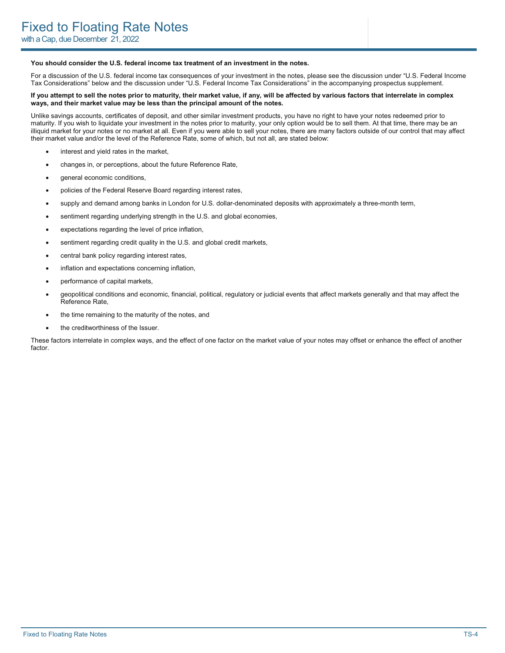#### **You should consider the U.S. federal income tax treatment of an investment in the notes.**

For a discussion of the U.S. federal income tax consequences of your investment in the notes, please see the discussion under "U.S. Federal Income Tax Considerations" below and the discussion under "U.S. Federal Income Tax Considerations" in the accompanying prospectus supplement.

#### **If you attempt to sell the notes prior to maturity, their market value, if any, will be affected by various factors that interrelate in complex ways, and their market value may be less than the principal amount of the notes.**

Unlike savings accounts, certificates of deposit, and other similar investment products, you have no right to have your notes redeemed prior to maturity. If you wish to liquidate your investment in the notes prior to maturity, your only option would be to sell them. At that time, there may be an illiquid market for your notes or no market at all. Even if you were able to sell your notes, there are many factors outside of our control that may affect their market value and/or the level of the Reference Rate, some of which, but not all, are stated below:

- interest and yield rates in the market,
- changes in, or perceptions, about the future Reference Rate,
- general economic conditions,
- policies of the Federal Reserve Board regarding interest rates,
- supply and demand among banks in London for U.S. dollar-denominated deposits with approximately a three-month term,
- sentiment regarding underlying strength in the U.S. and global economies,
- expectations regarding the level of price inflation,
- sentiment regarding credit quality in the U.S. and global credit markets,
- central bank policy regarding interest rates,
- inflation and expectations concerning inflation,
- performance of capital markets,
- geopolitical conditions and economic, financial, political, regulatory or judicial events that affect markets generally and that may affect the Reference Rate,
- the time remaining to the maturity of the notes, and
- the creditworthiness of the Issuer.

These factors interrelate in complex ways, and the effect of one factor on the market value of your notes may offset or enhance the effect of another factor.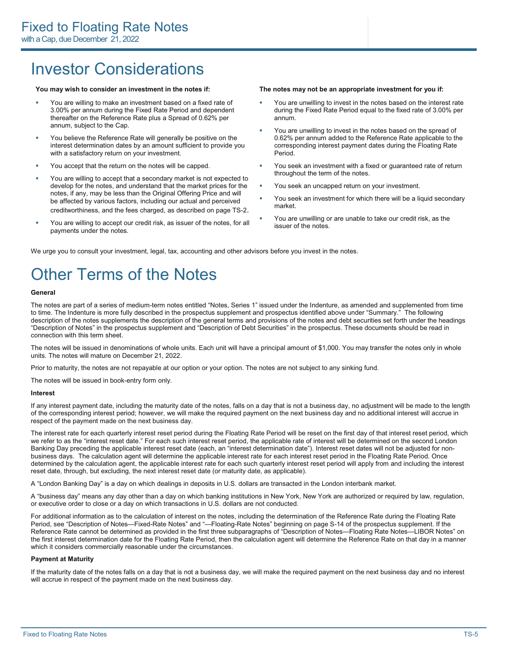### Investor Considerations

- ! You are willing to make an investment based on a fixed rate of 3.00% per annum during the Fixed Rate Period and dependent thereafter on the Reference Rate plus a Spread of 0.62% per annum, subject to the Cap.
- You believe the Reference Rate will generally be positive on the interest determination dates by an amount sufficient to provide you with a satisfactory return on your investment.
- ! You accept that the return on the notes will be capped.
- You are willing to accept that a secondary market is not expected to develop for the notes, and understand that the market prices for the notes, if any, may be less than the Original Offering Price and will be affected by various factors, including our actual and perceived creditworthiness, and the fees charged, as described on page TS-2.
- ! You are willing to accept our credit risk, as issuer of the notes, for all payments under the notes.

#### **You may wish to consider an investment in the notes if: The notes may not be an appropriate investment for you if:**

- ! You are unwilling to invest in the notes based on the interest rate during the Fixed Rate Period equal to the fixed rate of 3.00% per annum.
- You are unwilling to invest in the notes based on the spread of 0.62% per annum added to the Reference Rate applicable to the corresponding interest payment dates during the Floating Rate Period.
- You seek an investment with a fixed or guaranteed rate of return throughout the term of the notes.
- You seek an uncapped return on your investment.
- You seek an investment for which there will be a liquid secondary market.
- You are unwilling or are unable to take our credit risk, as the issuer of the notes.

We urge you to consult your investment, legal, tax, accounting and other advisors before you invest in the notes.

### Other Terms of the Notes

#### **General**

The notes are part of a series of medium-term notes entitled "Notes, Series 1" issued under the Indenture, as amended and supplemented from time to time. The Indenture is more fully described in the prospectus supplement and prospectus identified above under "Summary." The following description of the notes supplements the description of the general terms and provisions of the notes and debt securities set forth under the headings "Description of Notes" in the prospectus supplement and "Description of Debt Securities" in the prospectus. These documents should be read in connection with this term sheet.

The notes will be issued in denominations of whole units. Each unit will have a principal amount of \$1,000. You may transfer the notes only in whole units. The notes will mature on December 21, 2022.

Prior to maturity, the notes are not repayable at our option or your option. The notes are not subject to any sinking fund.

The notes will be issued in book-entry form only.

#### **Interest**

If any interest payment date, including the maturity date of the notes, falls on a day that is not a business day, no adjustment will be made to the length of the corresponding interest period; however, we will make the required payment on the next business day and no additional interest will accrue in respect of the payment made on the next business day.

The interest rate for each quarterly interest reset period during the Floating Rate Period will be reset on the first day of that interest reset period, which we refer to as the "interest reset date." For each such interest reset period, the applicable rate of interest will be determined on the second London Banking Day preceding the applicable interest reset date (each, an "interest determination date"). Interest reset dates will not be adjusted for nonbusiness days. The calculation agent will determine the applicable interest rate for each interest reset period in the Floating Rate Period. Once determined by the calculation agent, the applicable interest rate for each such quarterly interest reset period will apply from and including the interest reset date, through, but excluding, the next interest reset date (or maturity date, as applicable).

A "London Banking Day" is a day on which dealings in deposits in U.S. dollars are transacted in the London interbank market.

A "business day" means any day other than a day on which banking institutions in New York, New York are authorized or required by law, regulation, or executive order to close or a day on which transactions in U.S. dollars are not conducted.

For additional information as to the calculation of interest on the notes, including the determination of the Reference Rate during the Floating Rate Period, see "Description of Notes—Fixed-Rate Notes" and "—Floating-Rate Notes" beginning on page S-14 of the prospectus supplement. If the Reference Rate cannot be determined as provided in the first three subparagraphs of "Description of Notes—Floating Rate Notes—LIBOR Notes" on the first interest determination date for the Floating Rate Period, then the calculation agent will determine the Reference Rate on that day in a manner which it considers commercially reasonable under the circumstances.

#### **Payment at Maturity**

If the maturity date of the notes falls on a day that is not a business day, we will make the required payment on the next business day and no interest will accrue in respect of the payment made on the next business day.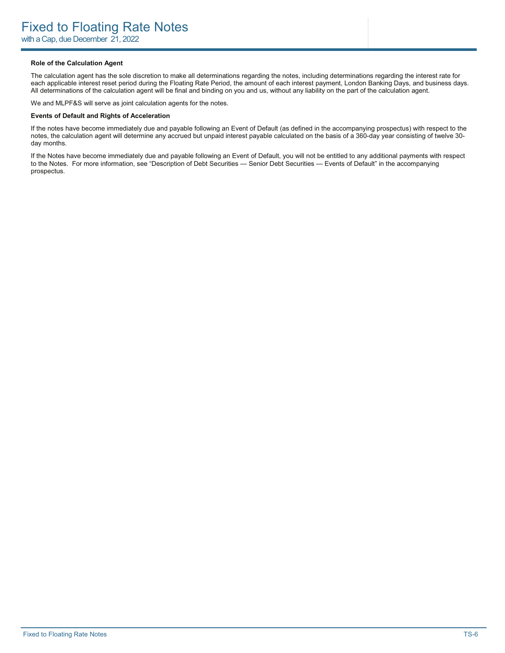### **Role of the Calculation Agent**

The calculation agent has the sole discretion to make all determinations regarding the notes, including determinations regarding the interest rate for each applicable interest reset period during the Floating Rate Period, the amount of each interest payment, London Banking Days, and business days. All determinations of the calculation agent will be final and binding on you and us, without any liability on the part of the calculation agent.

We and MLPF&S will serve as joint calculation agents for the notes.

#### **Events of Default and Rights of Acceleration**

If the notes have become immediately due and payable following an Event of Default (as defined in the accompanying prospectus) with respect to the notes, the calculation agent will determine any accrued but unpaid interest payable calculated on the basis of a 360-day year consisting of twelve 30 day months.

If the Notes have become immediately due and payable following an Event of Default, you will not be entitled to any additional payments with respect to the Notes. For more information, see "Description of Debt Securities — Senior Debt Securities — Events of Default" in the accompanying prospectus.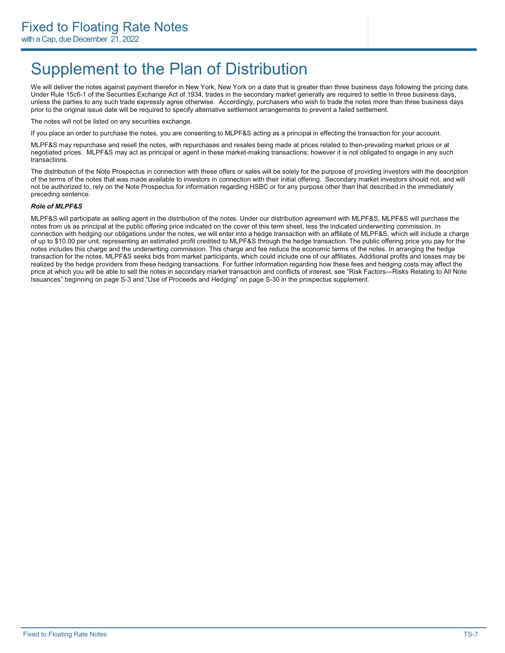### Supplement to the Plan of Distribution

We will deliver the notes against payment therefor in New York, New York on a date that is greater than three business days following the pricing date. Under Rule 15c6-1 of the Securities Exchange Act of 1934, trades in the secondary market generally are required to settle in three business days, unless the parties to any such trade expressly agree otherwise. Accordingly, purchasers who wish to trade the notes more than three business days prior to the original issue date will be required to specify alternative settlement arrangements to prevent a failed settlement.

The notes will not be listed on any securities exchange.

If you place an order to purchase the notes, you are consenting to MLPF&S acting as a principal in effecting the transaction for your account.

MLPF&S may repurchase and resell the notes, with repurchases and resales being made at prices related to then-prevailing market prices or at negotiated prices. MLPF&S may act as principal or agent in these market-making transactions; however it is not obligated to engage in any such transactions.

The distribution of the Note Prospectus in connection with these offers or sales will be solely for the purpose of providing investors with the description of the terms of the notes that was made available to investors in connection with their initial offering. Secondary market investors should not, and will not be authorized to, rely on the Note Prospectus for information regarding HSBC or for any purpose other than that described in the immediately preceding sentence.

#### *Role of MLPF&S*

MLPF&S will participate as selling agent in the distribution of the notes. Under our distribution agreement with MLPF&S, MLPF&S will purchase the notes from us as principal at the public offering price indicated on the cover of this term sheet, less the indicated underwriting commission. In connection with hedging our obligations under the notes, we will enter into a hedge transaction with an affiliate of MLPF&S, which will include a charge of up to \$10.00 per unit, representing an estimated profit credited to MLPF&S through the hedge transaction. The public offering price you pay for the notes includes this charge and the underwriting commission. This charge and fee reduce the economic terms of the notes. In arranging the hedge transaction for the notes, MLPF&S seeks bids from market participants, which could include one of our affiliates. Additional profits and losses may be realized by the hedge providers from these hedging transactions. For further information regarding how these fees and hedging costs may affect the price at which you will be able to sell the notes in secondary market transaction and conflicts of interest, see "Risk Factors—Risks Relating to All Note Issuances" beginning on page S-3 and "Use of Proceeds and Hedging" on page S-30 in the prospectus supplement.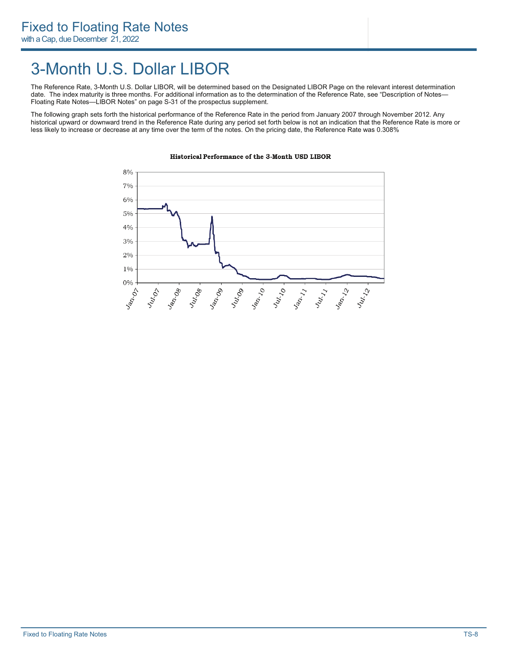### 3-Month U.S. Dollar LIBOR

The Reference Rate, 3-Month U.S. Dollar LIBOR, will be determined based on the Designated LIBOR Page on the relevant interest determination date. The index maturity is three months. For additional information as to the determination of the Reference Rate, see "Description of Notes— Floating Rate Notes—LIBOR Notes" on page S-31 of the prospectus supplement.

The following graph sets forth the historical performance of the Reference Rate in the period from January 2007 through November 2012. Any historical upward or downward trend in the Reference Rate during any period set forth below is not an indication that the Reference Rate is more or less likely to increase or decrease at any time over the term of the notes. On the pricing date, the Reference Rate was 0.308%



### Historical Performance of the 3-Month USD LIBOR